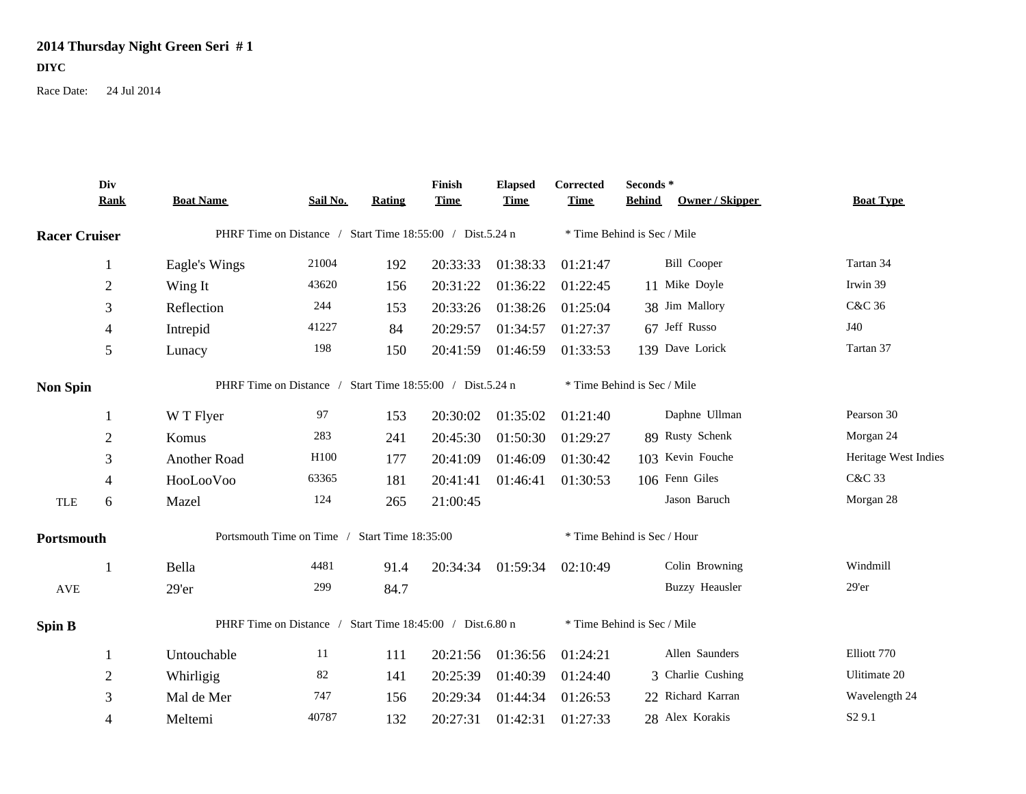## **2014 Thursday Night Green Seri # 1 DIYC**

Race Date: 24 Jul 2014

|                      | Div<br><b>Rank</b> | <b>Boat Name</b>                                          | Sail No. | Rating | Finish<br><b>Time</b> | <b>Elapsed</b><br><b>Time</b> | Corrected<br><b>Time</b>    | Seconds*<br><b>Behind</b> | <b>Owner / Skipper</b> | <b>Boat Type</b>     |
|----------------------|--------------------|-----------------------------------------------------------|----------|--------|-----------------------|-------------------------------|-----------------------------|---------------------------|------------------------|----------------------|
|                      |                    |                                                           |          |        |                       |                               |                             |                           |                        |                      |
| <b>Racer Cruiser</b> |                    | PHRF Time on Distance / Start Time 18:55:00 / Dist.5.24 n |          |        |                       |                               | * Time Behind is Sec / Mile |                           |                        |                      |
|                      | -1                 | Eagle's Wings                                             | 21004    | 192    | 20:33:33              | 01:38:33                      | 01:21:47                    |                           | <b>Bill Cooper</b>     | Tartan 34            |
|                      | $\overline{2}$     | Wing It                                                   | 43620    | 156    | 20:31:22              | 01:36:22                      | 01:22:45                    |                           | 11 Mike Doyle          | Irwin 39             |
|                      | 3                  | Reflection                                                | 244      | 153    | 20:33:26              | 01:38:26                      | 01:25:04                    |                           | 38 Jim Mallory         | C&C 36               |
|                      | $\overline{4}$     | Intrepid                                                  | 41227    | 84     | 20:29:57              | 01:34:57                      | 01:27:37                    |                           | 67 Jeff Russo          | J40                  |
|                      | 5                  | Lunacy                                                    | 198      | 150    | 20:41:59              | 01:46:59                      | 01:33:53                    |                           | 139 Dave Lorick        | Tartan 37            |
| <b>Non Spin</b>      |                    | PHRF Time on Distance / Start Time 18:55:00 / Dist.5.24 n |          |        |                       |                               | * Time Behind is Sec / Mile |                           |                        |                      |
|                      |                    | W T Flyer                                                 | 97       | 153    | 20:30:02              | 01:35:02                      | 01:21:40                    |                           | Daphne Ullman          | Pearson 30           |
|                      | $\overline{2}$     | Komus                                                     | 283      | 241    | 20:45:30              | 01:50:30                      | 01:29:27                    |                           | 89 Rusty Schenk        | Morgan 24            |
|                      | 3                  | Another Road                                              | H100     | 177    | 20:41:09              | 01:46:09                      | 01:30:42                    |                           | 103 Kevin Fouche       | Heritage West Indies |
|                      | 4                  | HooLooVoo                                                 | 63365    | 181    | 20:41:41              | 01:46:41                      | 01:30:53                    |                           | 106 Fenn Giles         | C&C 33               |
| <b>TLE</b>           | 6                  | Mazel                                                     | 124      | 265    | 21:00:45              |                               |                             |                           | Jason Baruch           | Morgan 28            |
| Portsmouth           |                    | Portsmouth Time on Time / Start Time 18:35:00             |          |        |                       |                               | * Time Behind is Sec / Hour |                           |                        |                      |
|                      | -1                 | Bella                                                     | 4481     | 91.4   | 20:34:34              | 01:59:34                      | 02:10:49                    |                           | Colin Browning         | Windmill             |
| <b>AVE</b>           |                    | 29'er                                                     | 299      | 84.7   |                       |                               |                             |                           | <b>Buzzy Heausler</b>  | $29'$ er             |
| <b>Spin B</b>        |                    | PHRF Time on Distance / Start Time 18:45:00 / Dist.6.80 n |          |        |                       |                               | * Time Behind is Sec / Mile |                           |                        |                      |
|                      |                    | Untouchable                                               | 11       | 111    | 20:21:56              | 01:36:56                      | 01:24:21                    |                           | Allen Saunders         | Elliott 770          |
|                      | $\overline{2}$     | Whirligig                                                 | 82       | 141    | 20:25:39              | 01:40:39                      | 01:24:40                    |                           | 3 Charlie Cushing      | Ulitimate 20         |
|                      | 3                  | Mal de Mer                                                | 747      | 156    | 20:29:34              | 01:44:34                      | 01:26:53                    |                           | 22 Richard Karran      | Wavelength 24        |
|                      | $\overline{4}$     | Meltemi                                                   | 40787    | 132    | 20:27:31              | 01:42:31                      | 01:27:33                    |                           | 28 Alex Korakis        | S <sub>2</sub> 9.1   |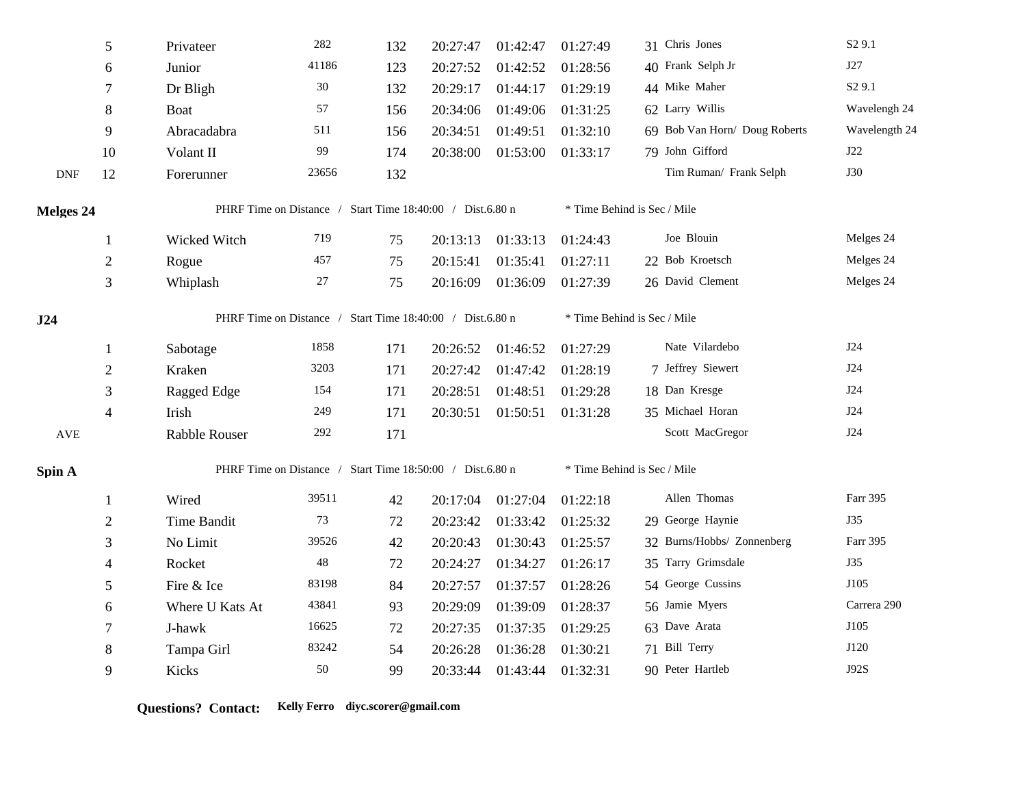|            | $\sqrt{5}$     | Privateer                                                 | 282         | 132 | 20:27:47 | 01:42:47 | 01:27:49                    | 31 Chris Jones                | S <sub>2</sub> 9.1 |  |
|------------|----------------|-----------------------------------------------------------|-------------|-----|----------|----------|-----------------------------|-------------------------------|--------------------|--|
|            | 6              | Junior                                                    | 41186       | 123 | 20:27:52 | 01:42:52 | 01:28:56                    | 40 Frank Selph Jr             | J27                |  |
|            | $\tau$         | Dr Bligh                                                  | 30          | 132 | 20:29:17 | 01:44:17 | 01:29:19                    | 44 Mike Maher                 | S <sub>2</sub> 9.1 |  |
|            | $\,8\,$        | Boat                                                      | 57          | 156 | 20:34:06 | 01:49:06 | 01:31:25                    | 62 Larry Willis               | Wavelengh 24       |  |
|            | 9              | Abracadabra                                               | 511         | 156 | 20:34:51 | 01:49:51 | 01:32:10                    | 69 Bob Van Horn/ Doug Roberts | Wavelength 24      |  |
|            | 10             | Volant II                                                 | 99          | 174 | 20:38:00 | 01:53:00 | 01:33:17                    | 79 John Gifford               | J22                |  |
| <b>DNF</b> | 12             | Forerunner                                                | 23656       | 132 |          |          |                             | Tim Ruman/ Frank Selph        | <b>J30</b>         |  |
| Melges 24  |                | PHRF Time on Distance / Start Time 18:40:00 / Dist.6.80 n |             |     |          |          | * Time Behind is Sec / Mile |                               |                    |  |
|            | $\mathbf{1}$   | Wicked Witch                                              | 719         | 75  | 20:13:13 | 01:33:13 | 01:24:43                    | Joe Blouin                    | Melges 24          |  |
|            | $\sqrt{2}$     | Rogue                                                     | 457         | 75  | 20:15:41 | 01:35:41 | 01:27:11                    | 22 Bob Kroetsch               | Melges 24          |  |
|            | 3              | Whiplash                                                  | $27\,$      | 75  | 20:16:09 | 01:36:09 | 01:27:39                    | 26 David Clement              | Melges 24          |  |
| J24        |                | PHRF Time on Distance / Start Time 18:40:00 / Dist.6.80 n |             |     |          |          | * Time Behind is Sec / Mile |                               |                    |  |
|            | $\mathbf{1}$   | Sabotage                                                  | 1858        | 171 | 20:26:52 | 01:46:52 | 01:27:29                    | Nate Vilardebo                | J24                |  |
|            | $\sqrt{2}$     | Kraken                                                    | 3203        | 171 | 20:27:42 | 01:47:42 | 01:28:19                    | 7 Jeffrey Siewert             | J24                |  |
|            | 3              | Ragged Edge                                               | 154         | 171 | 20:28:51 | 01:48:51 | 01:29:28                    | 18 Dan Kresge                 | J24                |  |
|            | $\overline{4}$ | Irish                                                     | 249         | 171 | 20:30:51 | 01:50:51 | 01:31:28                    | 35 Michael Horan              | J24                |  |
| <b>AVE</b> |                | <b>Rabble Rouser</b>                                      | 292         | 171 |          |          |                             | Scott MacGregor               | J24                |  |
| Spin A     |                | PHRF Time on Distance / Start Time 18:50:00 / Dist.6.80 n |             |     |          |          | * Time Behind is Sec / Mile |                               |                    |  |
|            | $\mathbf{1}$   | Wired                                                     | 39511       | 42  | 20:17:04 | 01:27:04 | 01:22:18                    | Allen Thomas                  | Farr 395           |  |
|            | $\overline{2}$ | Time Bandit                                               | $73\,$      | 72  | 20:23:42 | 01:33:42 | 01:25:32                    | 29 George Haynie              | J35                |  |
|            | $\mathfrak{Z}$ | No Limit                                                  | 39526       | 42  | 20:20:43 | 01:30:43 | 01:25:57                    | 32 Burns/Hobbs/ Zonnenberg    | Farr 395           |  |
|            | 4              | Rocket                                                    | $\sqrt{48}$ | 72  | 20:24:27 | 01:34:27 | 01:26:17                    | 35 Tarry Grimsdale            | <b>J35</b>         |  |
|            | 5              | Fire & Ice                                                | 83198       | 84  | 20:27:57 | 01:37:57 | 01:28:26                    | 54 George Cussins             | J105               |  |
|            | 6              | Where U Kats At                                           | 43841       | 93  | 20:29:09 | 01:39:09 | 01:28:37                    | 56 Jamie Myers                | Carrera 290        |  |
|            | $\tau$         | J-hawk                                                    | 16625       | 72  | 20:27:35 | 01:37:35 | 01:29:25                    | 63 Dave Arata                 | J105               |  |
|            | 8              | Tampa Girl                                                | 83242       | 54  | 20:26:28 | 01:36:28 | 01:30:21                    | 71 Bill Terry                 | J120               |  |
|            | 9              | Kicks                                                     | $50\,$      | 99  | 20:33:44 | 01:43:44 | 01:32:31                    | 90 Peter Hartleb              | J92S               |  |

**Questions? Contact: Kelly Ferro diyc.scorer@gmail.com**